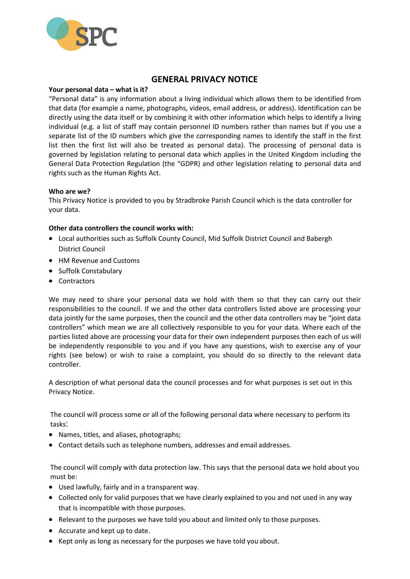

# **GENERAL PRIVACY NOTICE**

### **Your personal data – what is it?**

"Personal data" is any information about a living individual which allows them to be identified from that data (for example a name, photographs, videos, email address, or address). Identification can be directly using the data itself or by combining it with other information which helps to identify a living individual (e.g. a list of staff may contain personnel ID numbers rather than names but if you use a separate list of the ID numbers which give the corresponding names to identify the staff in the first list then the first list will also be treated as personal data). The processing of personal data is governed by legislation relating to personal data which applies in the United Kingdom including the General Data Protection Regulation (the "GDPR) and other legislation relating to personal data and rights such as the Human Rights Act.

#### **Who are we?**

This Privacy Notice is provided to you by Stradbroke Parish Council which is the data controller for your data.

### **Other data controllers the council works with:**

- Local authorities such as Suffolk County Council, Mid Suffolk District Council and Babergh District Council
- HM Revenue and Customs
- Suffolk Constabulary
- Contractors

We may need to share your personal data we hold with them so that they can carry out their responsibilities to the council. If we and the other data controllers listed above are processing your data jointly for the same purposes, then the council and the other data controllers may be "joint data controllers" which mean we are all collectively responsible to you for your data. Where each of the parties listed above are processing your data for their own independent purposes then each of us will be independently responsible to you and if you have any questions, wish to exercise any of your rights (see below) or wish to raise a complaint, you should do so directly to the relevant data controller.

A description of what personal data the council processes and for what purposes is set out in this Privacy Notice.

The council will process some or all of the following personal data where necessary to perform its tasks:

- Names, titles, and aliases, photographs;
- Contact details such as telephone numbers, addresses and email addresses.

The council will comply with data protection law. This says that the personal data we hold about you must be:

- Used lawfully, fairly and in a transparent way.
- Collected only for valid purposes that we have clearly explained to you and not used in any way that is incompatible with those purposes.
- Relevant to the purposes we have told you about and limited only to those purposes.
- Accurate and kept up to date.
- Kept only as long as necessary for the purposes we have told you about.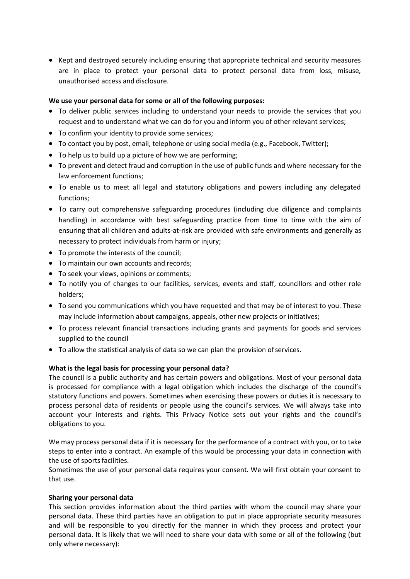• Kept and destroyed securely including ensuring that appropriate technical and security measures are in place to protect your personal data to protect personal data from loss, misuse, unauthorised access and disclosure.

### **We use your personal data for some or all of the following purposes:**

- To deliver public services including to understand your needs to provide the services that you request and to understand what we can do for you and inform you of other relevant services;
- To confirm your identity to provide some services;
- To contact you by post, email, telephone or using social media (e.g., Facebook, Twitter);
- To help us to build up a picture of how we are performing;
- To prevent and detect fraud and corruption in the use of public funds and where necessary for the law enforcement functions;
- To enable us to meet all legal and statutory obligations and powers including any delegated functions;
- To carry out comprehensive safeguarding procedures (including due diligence and complaints handling) in accordance with best safeguarding practice from time to time with the aim of ensuring that all children and adults-at-risk are provided with safe environments and generally as necessary to protect individuals from harm or injury;
- To promote the interests of the council:
- To maintain our own accounts and records;
- To seek your views, opinions or comments;
- To notify you of changes to our facilities, services, events and staff, councillors and other role holders;
- To send you communications which you have requested and that may be of interest to you. These may include information about campaigns, appeals, other new projects or initiatives;
- To process relevant financial transactions including grants and payments for goods and services supplied to the council
- To allow the statistical analysis of data so we can plan the provision of services.

## **What is the legal basis for processing your personal data?**

The council is a public authority and has certain powers and obligations. Most of your personal data is processed for compliance with a legal obligation which includes the discharge of the council's statutory functions and powers. Sometimes when exercising these powers or duties it is necessary to process personal data of residents or people using the council's services. We will always take into account your interests and rights. This Privacy Notice sets out your rights and the council's obligations to you.

We may process personal data if it is necessary for the performance of a contract with you, or to take steps to enter into a contract. An example of this would be processing your data in connection with the use of sports facilities.

Sometimes the use of your personal data requires your consent. We will first obtain your consent to that use.

### **Sharing your personal data**

This section provides information about the third parties with whom the council may share your personal data. These third parties have an obligation to put in place appropriate security measures and will be responsible to you directly for the manner in which they process and protect your personal data. It is likely that we will need to share your data with some or all of the following (but only where necessary):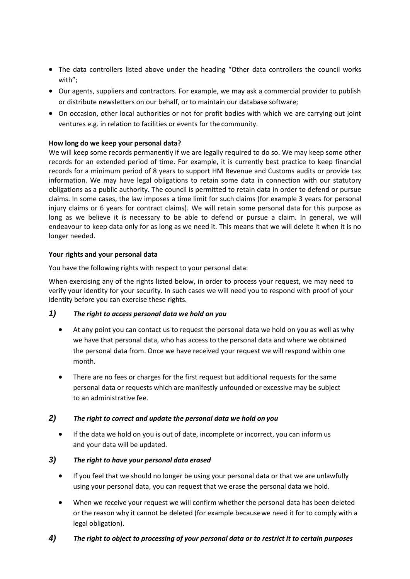- The data controllers listed above under the heading "Other data controllers the council works with";
- Our agents, suppliers and contractors. For example, we may ask a commercial provider to publish or distribute newsletters on our behalf, or to maintain our database software;
- On occasion, other local authorities or not for profit bodies with which we are carrying out joint ventures e.g. in relation to facilities or events for the community.

### **How long do we keep your personal data?**

We will keep some records permanently if we are legally required to do so. We may keep some other records for an extended period of time. For example, it is currently best practice to keep financial records for a minimum period of 8 years to support HM Revenue and Customs audits or provide tax information. We may have legal obligations to retain some data in connection with our statutory obligations as a public authority. The council is permitted to retain data in order to defend or pursue claims. In some cases, the law imposes a time limit for such claims (for example 3 years for personal injury claims or 6 years for contract claims). We will retain some personal data for this purpose as long as we believe it is necessary to be able to defend or pursue a claim. In general, we will endeavour to keep data only for as long as we need it. This means that we will delete it when it is no longer needed.

### **Your rights and your personal data**

You have the following rights with respect to your personal data:

When exercising any of the rights listed below, in order to process your request, we may need to verify your identity for your security. In such cases we will need you to respond with proof of your identity before you can exercise these rights.

## *1) The right to access personal data we hold on you*

- At any point you can contact us to request the personal data we hold on you as well as why we have that personal data, who has access to the personal data and where we obtained the personal data from. Once we have received your request we will respond within one month.
- There are no fees or charges for the first request but additional requests for the same personal data or requests which are manifestly unfounded or excessive may be subject to an administrative fee.

## *2) The right to correct and update the personal data we hold on you*

 If the data we hold on you is out of date, incomplete or incorrect, you can inform us and your data will be updated.

## *3) The right to have your personal data erased*

- If you feel that we should no longer be using your personal data or that we are unlawfully using your personal data, you can request that we erase the personal data we hold.
- When we receive your request we will confirm whether the personal data has been deleted or the reason why it cannot be deleted (for example becausewe need it for to comply with a legal obligation).

## *4) The right to object to processing of your personal data or to restrict it to certain purposes*